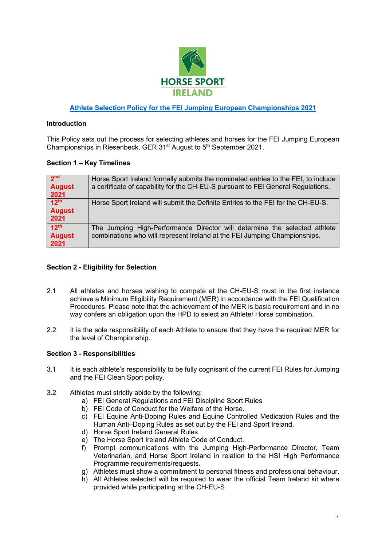

# **Athlete Selection Policy for the FEI Jumping European Championships 2021**

#### **Introduction**

This Policy sets out the process for selecting athletes and horses for the FEI Jumping European Championships in Riesenbeck, GER 31<sup>st</sup> August to 5<sup>th</sup> September 2021.

#### **Section 1 – Key Timelines**

| 2 <sub>nd</sub><br><b>August</b><br>2021  | Horse Sport Ireland formally submits the nominated entries to the FEI, to include<br>a certificate of capability for the CH-EU-S pursuant to FEI General Regulations. |
|-------------------------------------------|-----------------------------------------------------------------------------------------------------------------------------------------------------------------------|
| 12 <sup>th</sup><br><b>August</b><br>2021 | Horse Sport Ireland will submit the Definite Entries to the FEI for the CH-EU-S.                                                                                      |
| 12 <sup>th</sup><br><b>August</b><br>2021 | The Jumping High-Performance Director will determine the selected athlete<br>combinations who will represent Ireland at the FEI Jumping Championships.                |

#### **Section 2 - Eligibility for Selection**

- 2.1 All athletes and horses wishing to compete at the CH-EU-S must in the first instance achieve a Minimum Eligibility Requirement (MER) in accordance with the FEI Qualification Procedures. Please note that the achievement of the MER is basic requirement and in no way confers an obligation upon the HPD to select an Athlete/ Horse combination.
- 2.2 It is the sole responsibility of each Athlete to ensure that they have the required MER for the level of Championship.

#### **Section 3 - Responsibilities**

- 3.1 It is each athlete's responsibility to be fully cognisant of the current FEI Rules for Jumping and the FEI Clean Sport policy.
- 3.2 Athletes must strictly abide by the following:
	- a) FEI General Regulations and FEI Discipline Sport Rules
	- b) FEI Code of Conduct for the Welfare of the Horse.
	- c) FEI Equine Anti-Doping Rules and Equine Controlled Medication Rules and the Human Anti–Doping Rules as set out by the FEI and Sport Ireland.
	- d) Horse Sport Ireland General Rules.
	- e) The Horse Sport Ireland Athlete Code of Conduct.
	- f) Prompt communications with the Jumping High-Performance Director, Team Veterinarian, and Horse Sport Ireland in relation to the HSI High Performance Programme requirements/requests.
	- g) Athletes must show a commitment to personal fitness and professional behaviour.
	- h) All Athletes selected will be required to wear the official Team Ireland kit where provided while participating at the CH-EU-S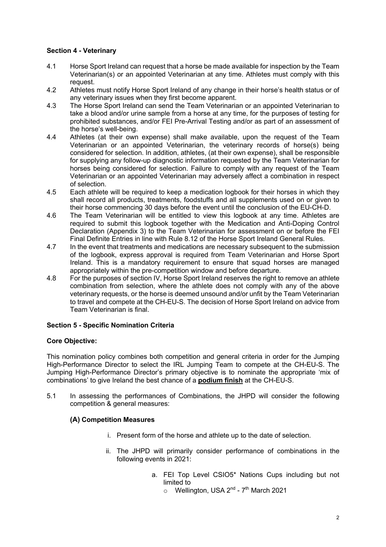# **Section 4 - Veterinary**

- 4.1 Horse Sport Ireland can request that a horse be made available for inspection by the Team Veterinarian(s) or an appointed Veterinarian at any time. Athletes must comply with this request.
- 4.2 Athletes must notify Horse Sport Ireland of any change in their horse's health status or of any veterinary issues when they first become apparent.
- 4.3 The Horse Sport Ireland can send the Team Veterinarian or an appointed Veterinarian to take a blood and/or urine sample from a horse at any time, for the purposes of testing for prohibited substances, and/or FEI Pre-Arrival Testing and/or as part of an assessment of the horse's well-being.
- 4.4 Athletes (at their own expense) shall make available, upon the request of the Team Veterinarian or an appointed Veterinarian, the veterinary records of horse(s) being considered for selection. In addition, athletes, (at their own expense), shall be responsible for supplying any follow-up diagnostic information requested by the Team Veterinarian for horses being considered for selection. Failure to comply with any request of the Team Veterinarian or an appointed Veterinarian may adversely affect a combination in respect of selection.
- 4.5 Each athlete will be required to keep a medication logbook for their horses in which they shall record all products, treatments, foodstuffs and all supplements used on or given to their horse commencing 30 days before the event until the conclusion of the EU-CH-D.
- 4.6 The Team Veterinarian will be entitled to view this logbook at any time. Athletes are required to submit this logbook together with the Medication and Anti-Doping Control Declaration (Appendix 3) to the Team Veterinarian for assessment on or before the FEI Final Definite Entries in line with Rule 8.12 of the Horse Sport Ireland General Rules.
- 4.7 In the event that treatments and medications are necessary subsequent to the submission of the logbook, express approval is required from Team Veterinarian and Horse Sport Ireland. This is a mandatory requirement to ensure that squad horses are managed appropriately within the pre-competition window and before departure.
- 4.8 For the purposes of section IV, Horse Sport Ireland reserves the right to remove an athlete combination from selection, where the athlete does not comply with any of the above veterinary requests, or the horse is deemed unsound and/or unfit by the Team Veterinarian to travel and compete at the CH-EU-S. The decision of Horse Sport Ireland on advice from Team Veterinarian is final.

# **Section 5 - Specific Nomination Criteria**

# **Core Objective:**

This nomination policy combines both competition and general criteria in order for the Jumping High-Performance Director to select the IRL Jumping Team to compete at the CH-EU-S. The Jumping High-Performance Director's primary objective is to nominate the appropriate 'mix of combinations' to give Ireland the best chance of a **podium finish** at the CH-EU-S.

5.1 In assessing the performances of Combinations, the JHPD will consider the following competition & general measures:

# **(A) Competition Measures**

- i. Present form of the horse and athlete up to the date of selection.
- ii. The JHPD will primarily consider performance of combinations in the following events in 2021:
	- a. FEI Top Level CSIO5\* Nations Cups including but not limited to
		- $\circ$  Wellington, USA 2<sup>nd</sup> 7<sup>th</sup> March 2021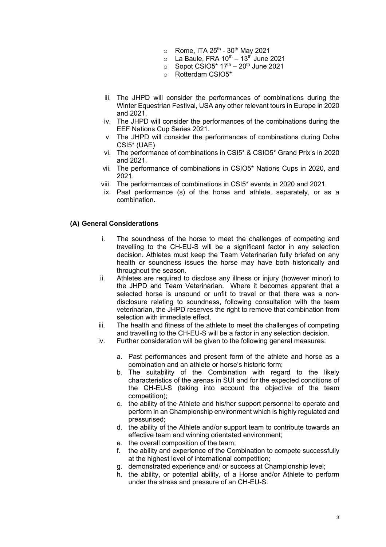- $\circ$  Rome, ITA 25<sup>th</sup> 30<sup>th</sup> May 2021
- $\circ$  La Baule, FRA 10<sup>th</sup> 13<sup>th</sup> June 2021
- $\circ$  Sopot CSIO5\* 17<sup>th</sup> 20<sup>th</sup> June 2021
- o Rotterdam CSIO5\*
- iii. The JHPD will consider the performances of combinations during the Winter Equestrian Festival, USA any other relevant tours in Europe in 2020 and 2021.
- iv. The JHPD will consider the performances of the combinations during the EEF Nations Cup Series 2021.
- v. The JHPD will consider the performances of combinations during Doha CSI5\* (UAE)
- vi. The performance of combinations in CSI5\* & CSIO5\* Grand Prix's in 2020 and 2021.
- vii. The performance of combinations in CSIO5\* Nations Cups in 2020, and 2021.
- viii. The performances of combinations in CSI5\* events in 2020 and 2021.
- ix. Past performance (s) of the horse and athlete, separately, or as a combination.

#### **(A) General Considerations**

- i. The soundness of the horse to meet the challenges of competing and travelling to the CH-EU-S will be a significant factor in any selection decision. Athletes must keep the Team Veterinarian fully briefed on any health or soundness issues the horse may have both historically and throughout the season.
- ii. Athletes are required to disclose any illness or injury (however minor) to the JHPD and Team Veterinarian. Where it becomes apparent that a selected horse is unsound or unfit to travel or that there was a nondisclosure relating to soundness, following consultation with the team veterinarian, the JHPD reserves the right to remove that combination from selection with immediate effect.
- iii. The health and fitness of the athlete to meet the challenges of competing and travelling to the CH-EU-S will be a factor in any selection decision.
- iv. Further consideration will be given to the following general measures:
	- a. Past performances and present form of the athlete and horse as a combination and an athlete or horse's historic form;
	- b. The suitability of the Combination with regard to the likely characteristics of the arenas in SUI and for the expected conditions of the CH-EU-S (taking into account the objective of the team competition);
	- c. the ability of the Athlete and his/her support personnel to operate and perform in an Championship environment which is highly regulated and pressurised;
	- d. the ability of the Athlete and/or support team to contribute towards an effective team and winning orientated environment;
	- e. the overall composition of the team;
	- f. the ability and experience of the Combination to compete successfully at the highest level of international competition;
	- g. demonstrated experience and/ or success at Championship level;
	- h. the ability, or potential ability, of a Horse and/or Athlete to perform under the stress and pressure of an CH-EU-S.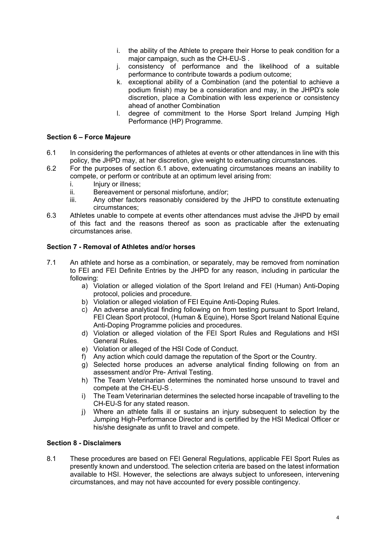- i. the ability of the Athlete to prepare their Horse to peak condition for a major campaign, such as the CH-EU-S .
- j. consistency of performance and the likelihood of a suitable performance to contribute towards a podium outcome;
- k. exceptional ability of a Combination (and the potential to achieve a podium finish) may be a consideration and may, in the JHPD's sole discretion, place a Combination with less experience or consistency ahead of another Combination
- l. degree of commitment to the Horse Sport Ireland Jumping High Performance (HP) Programme.

### **Section 6 – Force Majeure**

- 6.1 In considering the performances of athletes at events or other attendances in line with this policy, the JHPD may, at her discretion, give weight to extenuating circumstances.
- 6.2 For the purposes of section 6.1 above, extenuating circumstances means an inability to compete, or perform or contribute at an optimum level arising from:
	- i. Injury or illness:
	- ii. Bereavement or personal misfortune, and/or;
	- iii. Any other factors reasonably considered by the JHPD to constitute extenuating circumstances;
- 6.3 Athletes unable to compete at events other attendances must advise the JHPD by email of this fact and the reasons thereof as soon as practicable after the extenuating circumstances arise.

### **Section 7 - Removal of Athletes and/or horses**

- 7.1 An athlete and horse as a combination, or separately, may be removed from nomination to FEI and FEI Definite Entries by the JHPD for any reason, including in particular the following:
	- a) Violation or alleged violation of the Sport Ireland and FEI (Human) Anti-Doping protocol, policies and procedure.
	- b) Violation or alleged violation of FEI Equine Anti-Doping Rules.
	- c) An adverse analytical finding following on from testing pursuant to Sport Ireland, FEI Clean Sport protocol, (Human & Equine), Horse Sport Ireland National Equine Anti-Doping Programme policies and procedures.
	- d) Violation or alleged violation of the FEI Sport Rules and Regulations and HSI General Rules.
	- e) Violation or alleged of the HSI Code of Conduct.
	- f) Any action which could damage the reputation of the Sport or the Country.
	- g) Selected horse produces an adverse analytical finding following on from an assessment and/or Pre- Arrival Testing.
	- h) The Team Veterinarian determines the nominated horse unsound to travel and compete at the CH-EU-S .
	- i) The Team Veterinarian determines the selected horse incapable of travelling to the CH-EU-S for any stated reason.
	- j) Where an athlete falls ill or sustains an injury subsequent to selection by the Jumping High-Performance Director and is certified by the HSI Medical Officer or his/she designate as unfit to travel and compete.

#### **Section 8 - Disclaimers**

8.1 These procedures are based on FEI General Regulations, applicable FEI Sport Rules as presently known and understood. The selection criteria are based on the latest information available to HSI. However, the selections are always subject to unforeseen, intervening circumstances, and may not have accounted for every possible contingency.